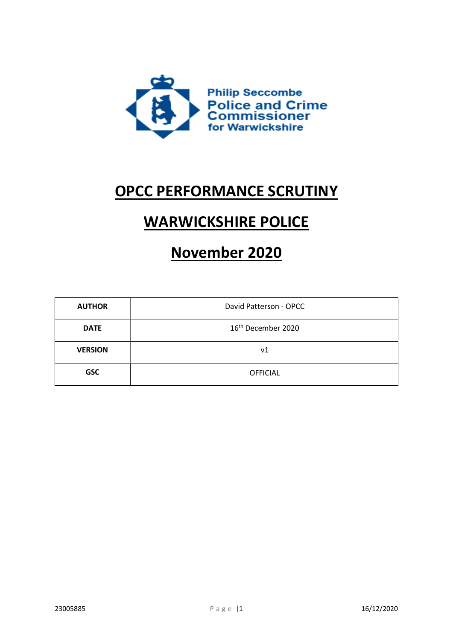

## OPCC PERFORMANCE SCRUTINY

# WARWICKSHIRE POLICE

## November 2020

| <b>AUTHOR</b>  | David Patterson - OPCC         |
|----------------|--------------------------------|
| <b>DATE</b>    | 16 <sup>th</sup> December 2020 |
| <b>VERSION</b> | ν1                             |
| <b>GSC</b>     | <b>OFFICIAL</b>                |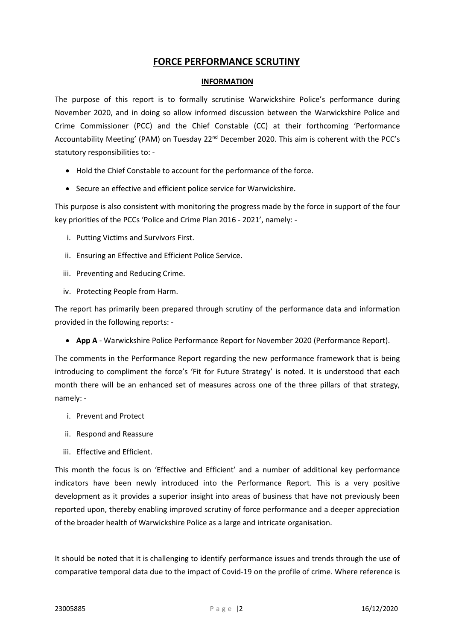## FORCE PERFORMANCE SCRUTINY

#### INFORMATION

The purpose of this report is to formally scrutinise Warwickshire Police's performance during November 2020, and in doing so allow informed discussion between the Warwickshire Police and Crime Commissioner (PCC) and the Chief Constable (CC) at their forthcoming 'Performance Accountability Meeting' (PAM) on Tuesday 22<sup>nd</sup> December 2020. This aim is coherent with the PCC's statutory responsibilities to: -

- Hold the Chief Constable to account for the performance of the force.
- Secure an effective and efficient police service for Warwickshire.

This purpose is also consistent with monitoring the progress made by the force in support of the four key priorities of the PCCs 'Police and Crime Plan 2016 - 2021', namely: -

- i. Putting Victims and Survivors First.
- ii. Ensuring an Effective and Efficient Police Service.
- iii. Preventing and Reducing Crime.
- iv. Protecting People from Harm.

The report has primarily been prepared through scrutiny of the performance data and information provided in the following reports: -

• App A - Warwickshire Police Performance Report for November 2020 (Performance Report).

The comments in the Performance Report regarding the new performance framework that is being introducing to compliment the force's 'Fit for Future Strategy' is noted. It is understood that each month there will be an enhanced set of measures across one of the three pillars of that strategy, namely: -

- i. Prevent and Protect
- ii. Respond and Reassure
- iii. Effective and Efficient.

This month the focus is on 'Effective and Efficient' and a number of additional key performance indicators have been newly introduced into the Performance Report. This is a very positive development as it provides a superior insight into areas of business that have not previously been reported upon, thereby enabling improved scrutiny of force performance and a deeper appreciation of the broader health of Warwickshire Police as a large and intricate organisation.

It should be noted that it is challenging to identify performance issues and trends through the use of comparative temporal data due to the impact of Covid-19 on the profile of crime. Where reference is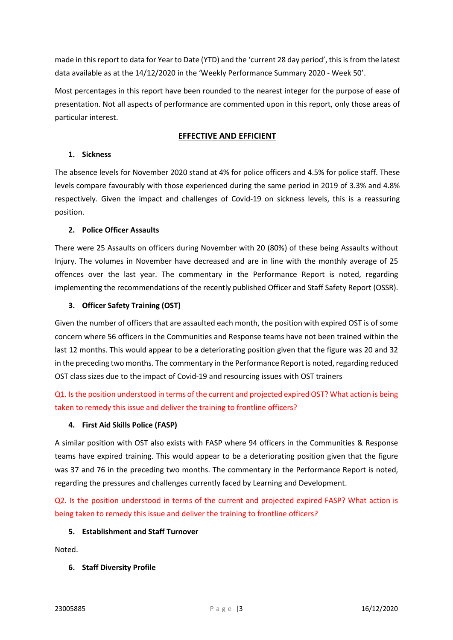made in this report to data for Year to Date (YTD) and the 'current 28 day period', this is from the latest data available as at the 14/12/2020 in the 'Weekly Performance Summary 2020 - Week 50'.

Most percentages in this report have been rounded to the nearest integer for the purpose of ease of presentation. Not all aspects of performance are commented upon in this report, only those areas of particular interest.

## EFFECTIVE AND EFFICIENT

#### 1. Sickness

The absence levels for November 2020 stand at 4% for police officers and 4.5% for police staff. These levels compare favourably with those experienced during the same period in 2019 of 3.3% and 4.8% respectively. Given the impact and challenges of Covid-19 on sickness levels, this is a reassuring position.

#### 2. Police Officer Assaults

There were 25 Assaults on officers during November with 20 (80%) of these being Assaults without Injury. The volumes in November have decreased and are in line with the monthly average of 25 offences over the last year. The commentary in the Performance Report is noted, regarding implementing the recommendations of the recently published Officer and Staff Safety Report (OSSR).

## 3. Officer Safety Training (OST)

Given the number of officers that are assaulted each month, the position with expired OST is of some concern where 56 officers in the Communities and Response teams have not been trained within the last 12 months. This would appear to be a deteriorating position given that the figure was 20 and 32 in the preceding two months. The commentary in the Performance Report is noted, regarding reduced OST class sizes due to the impact of Covid-19 and resourcing issues with OST trainers

Q1. Is the position understood in terms of the current and projected expired OST? What action is being taken to remedy this issue and deliver the training to frontline officers?

#### 4. First Aid Skills Police (FASP)

A similar position with OST also exists with FASP where 94 officers in the Communities & Response teams have expired training. This would appear to be a deteriorating position given that the figure was 37 and 76 in the preceding two months. The commentary in the Performance Report is noted, regarding the pressures and challenges currently faced by Learning and Development.

Q2. Is the position understood in terms of the current and projected expired FASP? What action is being taken to remedy this issue and deliver the training to frontline officers?

#### 5. Establishment and Staff Turnover

Noted.

## 6. Staff Diversity Profile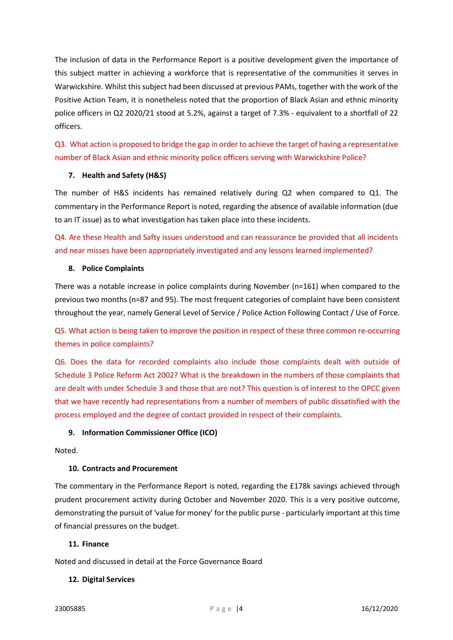The inclusion of data in the Performance Report is a positive development given the importance of this subject matter in achieving a workforce that is representative of the communities it serves in Warwickshire. Whilst this subject had been discussed at previous PAMs, together with the work of the Positive Action Team, it is nonetheless noted that the proportion of Black Asian and ethnic minority police officers in Q2 2020/21 stood at 5.2%, against a target of 7.3% - equivalent to a shortfall of 22 officers.

Q3. What action is proposed to bridge the gap in order to achieve the target of having a representative number of Black Asian and ethnic minority police officers serving with Warwickshire Police?

## 7. Health and Safety (H&S)

The number of H&S incidents has remained relatively during Q2 when compared to Q1. The commentary in the Performance Report is noted, regarding the absence of available information (due to an IT issue) as to what investigation has taken place into these incidents.

Q4. Are these Health and Safty issues understood and can reassurance be provided that all incidents and near misses have been appropriately investigated and any lessons learned implemented?

#### 8. Police Complaints

There was a notable increase in police complaints during November (n=161) when compared to the previous two months (n=87 and 95). The most frequent categories of complaint have been consistent throughout the year, namely General Level of Service / Police Action Following Contact / Use of Force.

Q5. What action is being taken to improve the position in respect of these three common re-occurring themes in police complaints?

Q6. Does the data for recorded complaints also include those complaints dealt with outside of Schedule 3 Police Reform Act 2002? What is the breakdown in the numbers of those complaints that are dealt with under Schedule 3 and those that are not? This question is of interest to the OPCC given that we have recently had representations from a number of members of public dissatisfied with the process employed and the degree of contact provided in respect of their complaints.

## 9. Information Commissioner Office (ICO)

Noted.

#### 10. Contracts and Procurement

The commentary in the Performance Report is noted, regarding the £178k savings achieved through prudent procurement activity during October and November 2020. This is a very positive outcome, demonstrating the pursuit of 'value for money' for the public purse - particularly important at this time of financial pressures on the budget.

#### 11. Finance

Noted and discussed in detail at the Force Governance Board

#### 12. Digital Services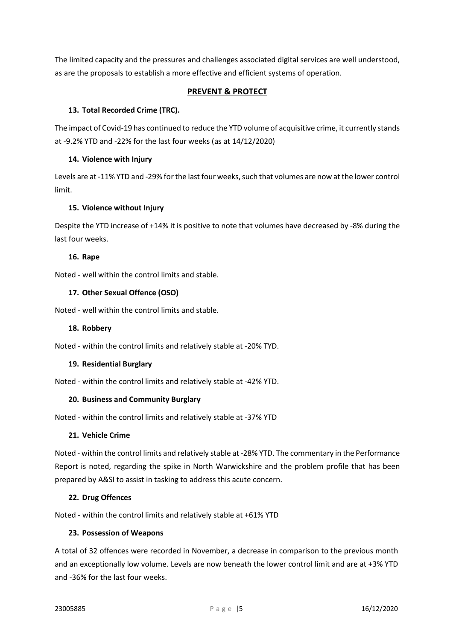The limited capacity and the pressures and challenges associated digital services are well understood, as are the proposals to establish a more effective and efficient systems of operation.

## PREVENT & PROTECT

## 13. Total Recorded Crime (TRC).

The impact of Covid-19 has continued to reduce the YTD volume of acquisitive crime, it currently stands at -9.2% YTD and -22% for the last four weeks (as at 14/12/2020)

## 14. Violence with Injury

Levels are at -11% YTD and -29% for the last four weeks, such that volumes are now at the lower control limit.

## 15. Violence without Injury

Despite the YTD increase of +14% it is positive to note that volumes have decreased by -8% during the last four weeks.

#### 16. Rape

Noted - well within the control limits and stable.

#### 17. Other Sexual Offence (OSO)

Noted - well within the control limits and stable.

#### 18. Robbery

Noted - within the control limits and relatively stable at -20% TYD.

#### 19. Residential Burglary

Noted - within the control limits and relatively stable at -42% YTD.

#### 20. Business and Community Burglary

Noted - within the control limits and relatively stable at -37% YTD

#### 21. Vehicle Crime

Noted - within the control limits and relatively stable at -28% YTD. The commentary in the Performance Report is noted, regarding the spike in North Warwickshire and the problem profile that has been prepared by A&SI to assist in tasking to address this acute concern.

#### 22. Drug Offences

Noted - within the control limits and relatively stable at +61% YTD

#### 23. Possession of Weapons

A total of 32 offences were recorded in November, a decrease in comparison to the previous month and an exceptionally low volume. Levels are now beneath the lower control limit and are at +3% YTD and -36% for the last four weeks.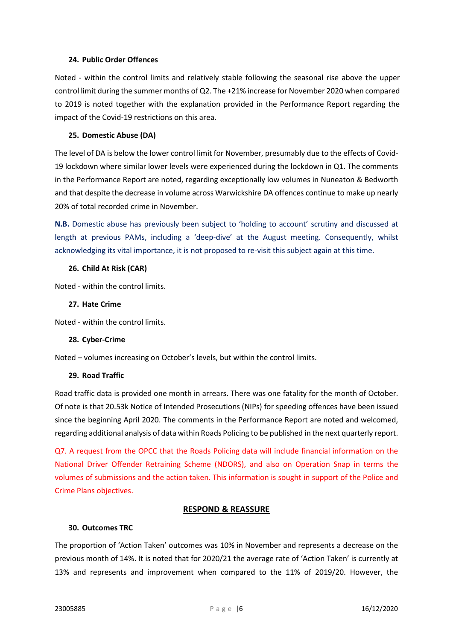#### 24. Public Order Offences

Noted - within the control limits and relatively stable following the seasonal rise above the upper control limit during the summer months of Q2. The +21% increase for November 2020 when compared to 2019 is noted together with the explanation provided in the Performance Report regarding the impact of the Covid-19 restrictions on this area.

#### 25. Domestic Abuse (DA)

The level of DA is below the lower control limit for November, presumably due to the effects of Covid-19 lockdown where similar lower levels were experienced during the lockdown in Q1. The comments in the Performance Report are noted, regarding exceptionally low volumes in Nuneaton & Bedworth and that despite the decrease in volume across Warwickshire DA offences continue to make up nearly 20% of total recorded crime in November.

N.B. Domestic abuse has previously been subject to 'holding to account' scrutiny and discussed at length at previous PAMs, including a 'deep-dive' at the August meeting. Consequently, whilst acknowledging its vital importance, it is not proposed to re-visit this subject again at this time.

#### 26. Child At Risk (CAR)

Noted - within the control limits.

## 27. Hate Crime

Noted - within the control limits.

#### 28. Cyber-Crime

Noted – volumes increasing on October's levels, but within the control limits.

#### 29. Road Traffic

Road traffic data is provided one month in arrears. There was one fatality for the month of October. Of note is that 20.53k Notice of Intended Prosecutions (NIPs) for speeding offences have been issued since the beginning April 2020. The comments in the Performance Report are noted and welcomed, regarding additional analysis of data within Roads Policing to be published in the next quarterly report.

Q7. A request from the OPCC that the Roads Policing data will include financial information on the National Driver Offender Retraining Scheme (NDORS), and also on Operation Snap in terms the volumes of submissions and the action taken. This information is sought in support of the Police and Crime Plans objectives.

## RESPOND & REASSURE

#### 30. Outcomes TRC

The proportion of 'Action Taken' outcomes was 10% in November and represents a decrease on the previous month of 14%. It is noted that for 2020/21 the average rate of 'Action Taken' is currently at 13% and represents and improvement when compared to the 11% of 2019/20. However, the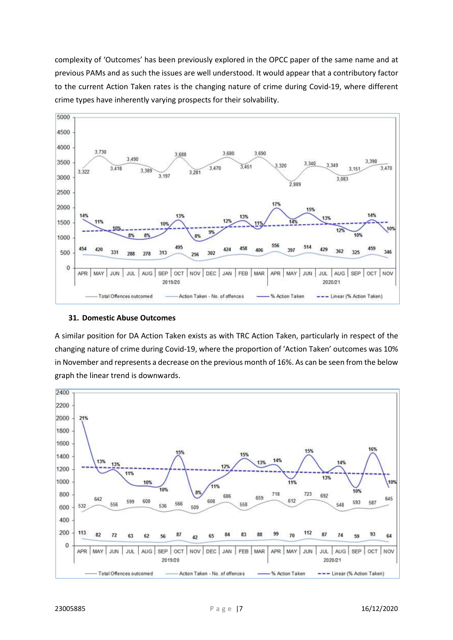complexity of 'Outcomes' has been previously explored in the OPCC paper of the same name and at previous PAMs and as such the issues are well understood. It would appear that a contributory factor to the current Action Taken rates is the changing nature of crime during Covid-19, where different crime types have inherently varying prospects for their solvability.



#### 31. Domestic Abuse Outcomes

A similar position for DA Action Taken exists as with TRC Action Taken, particularly in respect of the changing nature of crime during Covid-19, where the proportion of 'Action Taken' outcomes was 10% in November and represents a decrease on the previous month of 16%. As can be seen from the below graph the linear trend is downwards.

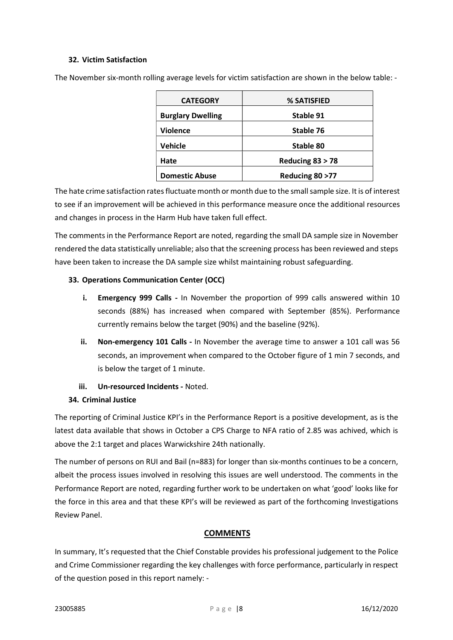## 32. Victim Satisfaction

| <b>CATEGORY</b>          | % SATISFIED        |
|--------------------------|--------------------|
| <b>Burglary Dwelling</b> | Stable 91          |
| <b>Violence</b>          | Stable 76          |
| Vehicle                  | Stable 80          |
| Hate                     | Reducing $83 > 78$ |
| <b>Domestic Abuse</b>    | Reducing 80 > 77   |

The November six-month rolling average levels for victim satisfaction are shown in the below table: -

The hate crime satisfaction rates fluctuate month or month due to the small sample size. It is of interest to see if an improvement will be achieved in this performance measure once the additional resources and changes in process in the Harm Hub have taken full effect.

The comments in the Performance Report are noted, regarding the small DA sample size in November rendered the data statistically unreliable; also that the screening process has been reviewed and steps have been taken to increase the DA sample size whilst maintaining robust safeguarding.

## 33. Operations Communication Center (OCC)

- i. Emergency 999 Calls In November the proportion of 999 calls answered within 10 seconds (88%) has increased when compared with September (85%). Performance currently remains below the target (90%) and the baseline (92%).
- ii. Non-emergency 101 Calls In November the average time to answer a 101 call was 56 seconds, an improvement when compared to the October figure of 1 min 7 seconds, and is below the target of 1 minute.
- iii. Un-resourced Incidents Noted.

## 34. Criminal Justice

The reporting of Criminal Justice KPI's in the Performance Report is a positive development, as is the latest data available that shows in October a CPS Charge to NFA ratio of 2.85 was achived, which is above the 2:1 target and places Warwickshire 24th nationally.

The number of persons on RUI and Bail (n=883) for longer than six-months continues to be a concern, albeit the process issues involved in resolving this issues are well understood. The comments in the Performance Report are noted, regarding further work to be undertaken on what 'good' looks like for the force in this area and that these KPI's will be reviewed as part of the forthcoming Investigations Review Panel.

## **COMMENTS**

In summary, It's requested that the Chief Constable provides his professional judgement to the Police and Crime Commissioner regarding the key challenges with force performance, particularly in respect of the question posed in this report namely: -